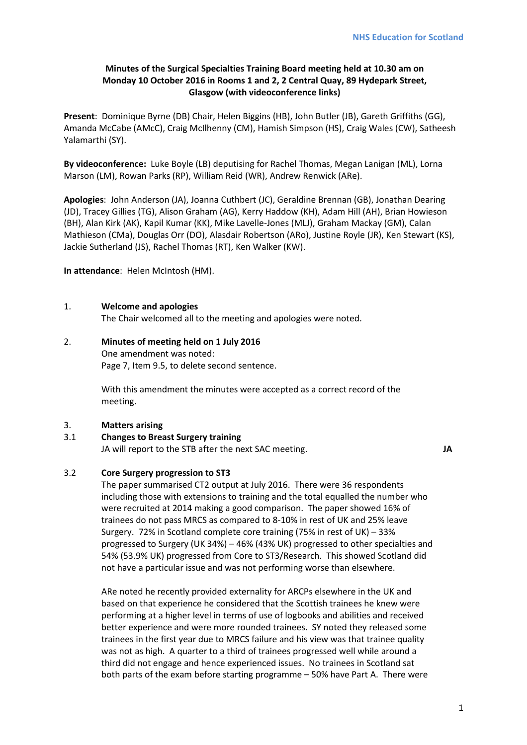## **Minutes of the Surgical Specialties Training Board meeting held at 10.30 am on Monday 10 October 2016 in Rooms 1 and 2, 2 Central Quay, 89 Hydepark Street, Glasgow (with videoconference links)**

**Present**: Dominique Byrne (DB) Chair, Helen Biggins (HB), John Butler (JB), Gareth Griffiths (GG), Amanda McCabe (AMcC), Craig McIlhenny (CM), Hamish Simpson (HS), Craig Wales (CW), Satheesh Yalamarthi (SY).

**By videoconference:** Luke Boyle (LB) deputising for Rachel Thomas, Megan Lanigan (ML), Lorna Marson (LM), Rowan Parks (RP), William Reid (WR), Andrew Renwick (ARe).

**Apologies**: John Anderson (JA), Joanna Cuthbert (JC), Geraldine Brennan (GB), Jonathan Dearing (JD), Tracey Gillies (TG), Alison Graham (AG), Kerry Haddow (KH), Adam Hill (AH), Brian Howieson (BH), Alan Kirk (AK), Kapil Kumar (KK), Mike Lavelle-Jones (MLJ), Graham Mackay (GM), Calan Mathieson (CMa), Douglas Orr (DO), Alasdair Robertson (ARo), Justine Royle (JR), Ken Stewart (KS), Jackie Sutherland (JS), Rachel Thomas (RT), Ken Walker (KW).

**In attendance**: Helen McIntosh (HM).

### 1. **Welcome and apologies**

The Chair welcomed all to the meeting and apologies were noted.

### 2. **Minutes of meeting held on 1 July 2016**

One amendment was noted: Page 7, Item 9.5, to delete second sentence.

With this amendment the minutes were accepted as a correct record of the meeting.

### 3. **Matters arising**

# 3.1 **Changes to Breast Surgery training**

JA will report to the STB after the next SAC meeting. **JA**

### 3.2 **Core Surgery progression to ST3**

The paper summarised CT2 output at July 2016. There were 36 respondents including those with extensions to training and the total equalled the number who were recruited at 2014 making a good comparison. The paper showed 16% of trainees do not pass MRCS as compared to 8-10% in rest of UK and 25% leave Surgery. 72% in Scotland complete core training (75% in rest of UK) – 33% progressed to Surgery (UK 34%) – 46% (43% UK) progressed to other specialties and 54% (53.9% UK) progressed from Core to ST3/Research. This showed Scotland did not have a particular issue and was not performing worse than elsewhere.

ARe noted he recently provided externality for ARCPs elsewhere in the UK and based on that experience he considered that the Scottish trainees he knew were performing at a higher level in terms of use of logbooks and abilities and received better experience and were more rounded trainees. SY noted they released some trainees in the first year due to MRCS failure and his view was that trainee quality was not as high. A quarter to a third of trainees progressed well while around a third did not engage and hence experienced issues. No trainees in Scotland sat both parts of the exam before starting programme – 50% have Part A. There were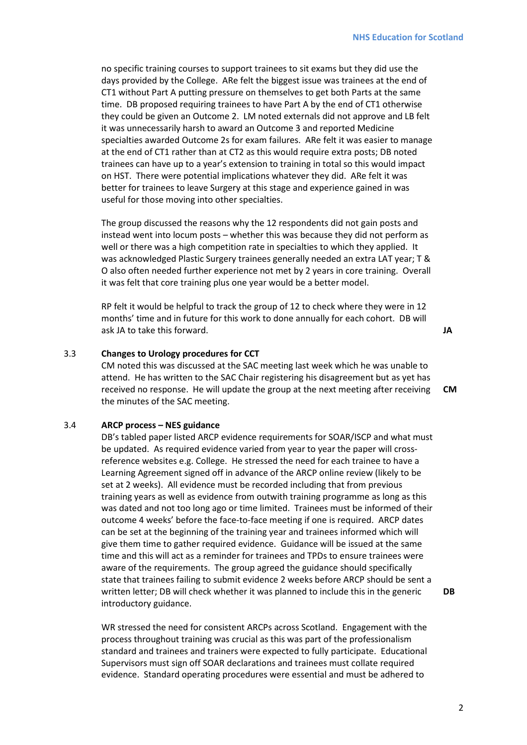no specific training courses to support trainees to sit exams but they did use the days provided by the College. ARe felt the biggest issue was trainees at the end of CT1 without Part A putting pressure on themselves to get both Parts at the same time. DB proposed requiring trainees to have Part A by the end of CT1 otherwise they could be given an Outcome 2. LM noted externals did not approve and LB felt it was unnecessarily harsh to award an Outcome 3 and reported Medicine specialties awarded Outcome 2s for exam failures. ARe felt it was easier to manage at the end of CT1 rather than at CT2 as this would require extra posts; DB noted trainees can have up to a year's extension to training in total so this would impact on HST. There were potential implications whatever they did. ARe felt it was better for trainees to leave Surgery at this stage and experience gained in was useful for those moving into other specialties.

The group discussed the reasons why the 12 respondents did not gain posts and instead went into locum posts – whether this was because they did not perform as well or there was a high competition rate in specialties to which they applied. It was acknowledged Plastic Surgery trainees generally needed an extra LAT year; T & O also often needed further experience not met by 2 years in core training. Overall it was felt that core training plus one year would be a better model.

RP felt it would be helpful to track the group of 12 to check where they were in 12 months' time and in future for this work to done annually for each cohort. DB will ask JA to take this forward. **JA**

### 3.3 **Changes to Urology procedures for CCT**

CM noted this was discussed at the SAC meeting last week which he was unable to attend. He has written to the SAC Chair registering his disagreement but as yet has received no response. He will update the group at the next meeting after receiving the minutes of the SAC meeting. **CM** 

#### 3.4 **ARCP process – NES guidance**

DB's tabled paper listed ARCP evidence requirements for SOAR/ISCP and what must be updated. As required evidence varied from year to year the paper will crossreference websites e.g. College. He stressed the need for each trainee to have a Learning Agreement signed off in advance of the ARCP online review (likely to be set at 2 weeks). All evidence must be recorded including that from previous training years as well as evidence from outwith training programme as long as this was dated and not too long ago or time limited. Trainees must be informed of their outcome 4 weeks' before the face-to-face meeting if one is required. ARCP dates can be set at the beginning of the training year and trainees informed which will give them time to gather required evidence. Guidance will be issued at the same time and this will act as a reminder for trainees and TPDs to ensure trainees were aware of the requirements. The group agreed the guidance should specifically state that trainees failing to submit evidence 2 weeks before ARCP should be sent a written letter; DB will check whether it was planned to include this in the generic introductory guidance.

WR stressed the need for consistent ARCPs across Scotland. Engagement with the process throughout training was crucial as this was part of the professionalism standard and trainees and trainers were expected to fully participate. Educational Supervisors must sign off SOAR declarations and trainees must collate required evidence. Standard operating procedures were essential and must be adhered to

**DB**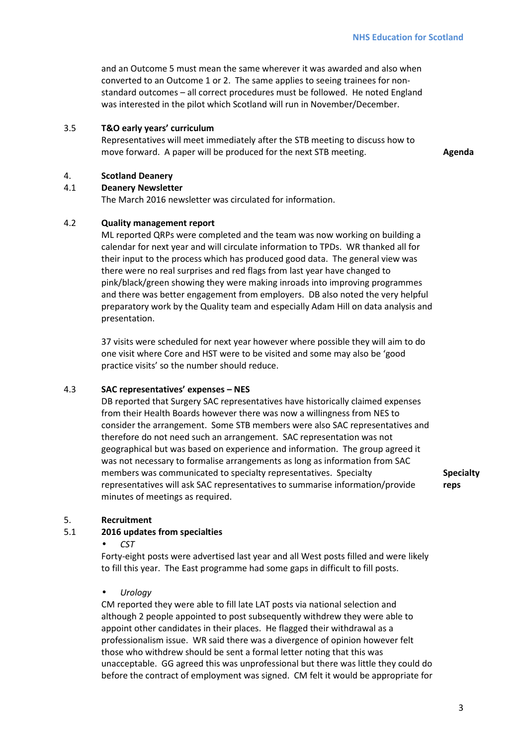and an Outcome 5 must mean the same wherever it was awarded and also when converted to an Outcome 1 or 2. The same applies to seeing trainees for nonstandard outcomes – all correct procedures must be followed. He noted England was interested in the pilot which Scotland will run in November/December.

### 3.5 **T&O early years' curriculum**

Representatives will meet immediately after the STB meeting to discuss how to move forward. A paper will be produced for the next STB meeting. **Agenda Agenda** 

#### 4. **Scotland Deanery**

#### 4.1 **Deanery Newsletter**

The March 2016 newsletter was circulated for information.

#### 4.2 **Quality management report**

ML reported QRPs were completed and the team was now working on building a calendar for next year and will circulate information to TPDs. WR thanked all for their input to the process which has produced good data. The general view was there were no real surprises and red flags from last year have changed to pink/black/green showing they were making inroads into improving programmes and there was better engagement from employers. DB also noted the very helpful preparatory work by the Quality team and especially Adam Hill on data analysis and presentation.

37 visits were scheduled for next year however where possible they will aim to do one visit where Core and HST were to be visited and some may also be 'good practice visits' so the number should reduce.

#### 4.3 **SAC representatives' expenses – NES**

DB reported that Surgery SAC representatives have historically claimed expenses from their Health Boards however there was now a willingness from NES to consider the arrangement. Some STB members were also SAC representatives and therefore do not need such an arrangement. SAC representation was not geographical but was based on experience and information. The group agreed it was not necessary to formalise arrangements as long as information from SAC members was communicated to specialty representatives. Specialty representatives will ask SAC representatives to summarise information/provide minutes of meetings as required.

**Specialty reps** 

### 5. **Recruitment**

#### 5.1 **2016 updates from specialties**

• *CST* 

Forty-eight posts were advertised last year and all West posts filled and were likely to fill this year. The East programme had some gaps in difficult to fill posts.

#### • *Urology*

CM reported they were able to fill late LAT posts via national selection and although 2 people appointed to post subsequently withdrew they were able to appoint other candidates in their places. He flagged their withdrawal as a professionalism issue. WR said there was a divergence of opinion however felt those who withdrew should be sent a formal letter noting that this was unacceptable. GG agreed this was unprofessional but there was little they could do before the contract of employment was signed. CM felt it would be appropriate for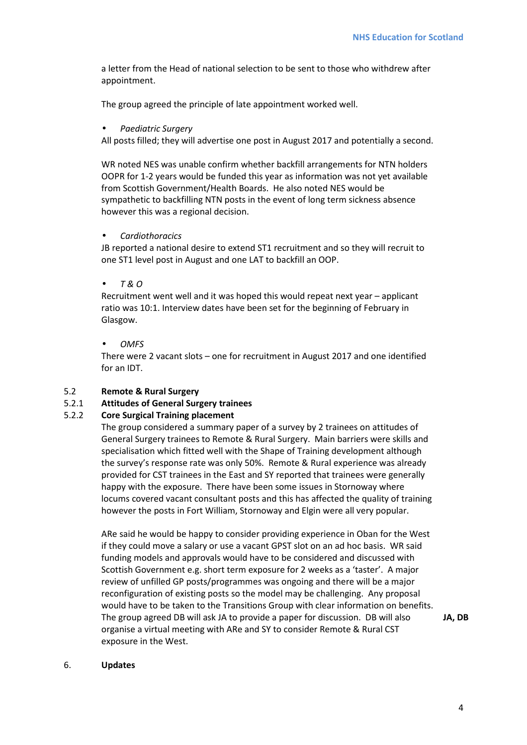a letter from the Head of national selection to be sent to those who withdrew after appointment.

The group agreed the principle of late appointment worked well.

### • *Paediatric Surgery*

All posts filled; they will advertise one post in August 2017 and potentially a second.

WR noted NES was unable confirm whether backfill arrangements for NTN holders OOPR for 1-2 years would be funded this year as information was not yet available from Scottish Government/Health Boards. He also noted NES would be sympathetic to backfilling NTN posts in the event of long term sickness absence however this was a regional decision.

### • *Cardiothoracics*

JB reported a national desire to extend ST1 recruitment and so they will recruit to one ST1 level post in August and one LAT to backfill an OOP.

### • *T & O*

Recruitment went well and it was hoped this would repeat next year – applicant ratio was 10:1. Interview dates have been set for the beginning of February in Glasgow.

### • *OMFS*

There were 2 vacant slots – one for recruitment in August 2017 and one identified for an IDT.

## 5.2 **Remote & Rural Surgery**

### 5.2.1 **Attitudes of General Surgery trainees**

### 5.2.2 **Core Surgical Training placement**

The group considered a summary paper of a survey by 2 trainees on attitudes of General Surgery trainees to Remote & Rural Surgery. Main barriers were skills and specialisation which fitted well with the Shape of Training development although the survey's response rate was only 50%. Remote & Rural experience was already provided for CST trainees in the East and SY reported that trainees were generally happy with the exposure. There have been some issues in Stornoway where locums covered vacant consultant posts and this has affected the quality of training however the posts in Fort William, Stornoway and Elgin were all very popular.

ARe said he would be happy to consider providing experience in Oban for the West if they could move a salary or use a vacant GPST slot on an ad hoc basis. WR said funding models and approvals would have to be considered and discussed with Scottish Government e.g. short term exposure for 2 weeks as a 'taster'. A major review of unfilled GP posts/programmes was ongoing and there will be a major reconfiguration of existing posts so the model may be challenging. Any proposal would have to be taken to the Transitions Group with clear information on benefits. The group agreed DB will ask JA to provide a paper for discussion. DB will also organise a virtual meeting with ARe and SY to consider Remote & Rural CST exposure in the West.

**JA, DB**

#### 6. **Updates**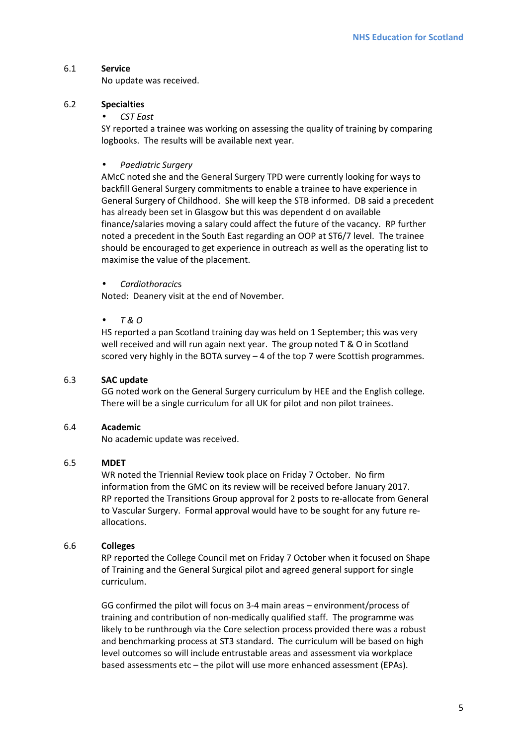## 6.1 **Service**

No update was received.

## 6.2 **Specialties**

## • *CST East*

SY reported a trainee was working on assessing the quality of training by comparing logbooks. The results will be available next year.

# • *Paediatric Surgery*

AMcC noted she and the General Surgery TPD were currently looking for ways to backfill General Surgery commitments to enable a trainee to have experience in General Surgery of Childhood. She will keep the STB informed. DB said a precedent has already been set in Glasgow but this was dependent d on available finance/salaries moving a salary could affect the future of the vacancy. RP further noted a precedent in the South East regarding an OOP at ST6/7 level. The trainee should be encouraged to get experience in outreach as well as the operating list to maximise the value of the placement.

## • *Cardiothoracic*s

Noted: Deanery visit at the end of November.

## • *T & O*

HS reported a pan Scotland training day was held on 1 September; this was very well received and will run again next year. The group noted T & O in Scotland scored very highly in the BOTA survey – 4 of the top 7 were Scottish programmes.

### 6.3 **SAC update**

GG noted work on the General Surgery curriculum by HEE and the English college. There will be a single curriculum for all UK for pilot and non pilot trainees.

### 6.4 **Academic**

No academic update was received.

## 6.5 **MDET**

WR noted the Triennial Review took place on Friday 7 October. No firm information from the GMC on its review will be received before January 2017. RP reported the Transitions Group approval for 2 posts to re-allocate from General to Vascular Surgery. Formal approval would have to be sought for any future reallocations.

### 6.6 **Colleges**

RP reported the College Council met on Friday 7 October when it focused on Shape of Training and the General Surgical pilot and agreed general support for single curriculum.

GG confirmed the pilot will focus on 3-4 main areas – environment/process of training and contribution of non-medically qualified staff. The programme was likely to be runthrough via the Core selection process provided there was a robust and benchmarking process at ST3 standard. The curriculum will be based on high level outcomes so will include entrustable areas and assessment via workplace based assessments etc – the pilot will use more enhanced assessment (EPAs).